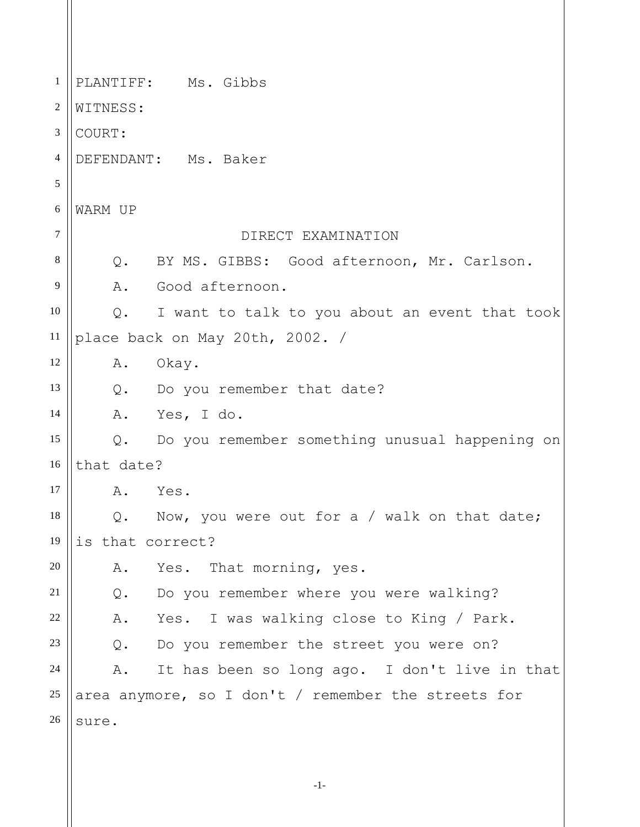1 2 3 4 5 6 7 8 9 10 11 12 13 14 15 16 17 18 19 20 21 22 23 24 25 26 PLANTIFF: Ms. Gibbs WITNESS: COURT: DEFENDANT: Ms. Baker WARM UP DIRECT EXAMINATION Q. BY MS. GIBBS: Good afternoon, Mr. Carlson. A. Good afternoon. Q. I want to talk to you about an event that took place back on May 20th, 2002. / A. Okay. Q. Do you remember that date? A. Yes, I do. Q. Do you remember something unusual happening on that date? A. Yes. Q. Now, you were out for a / walk on that date; is that correct? A. Yes. That morning, yes. Q. Do you remember where you were walking? A. Yes. I was walking close to King / Park. Q. Do you remember the street you were on? A. It has been so long ago. I don't live in that area anymore, so I don't / remember the streets for sure.

-1-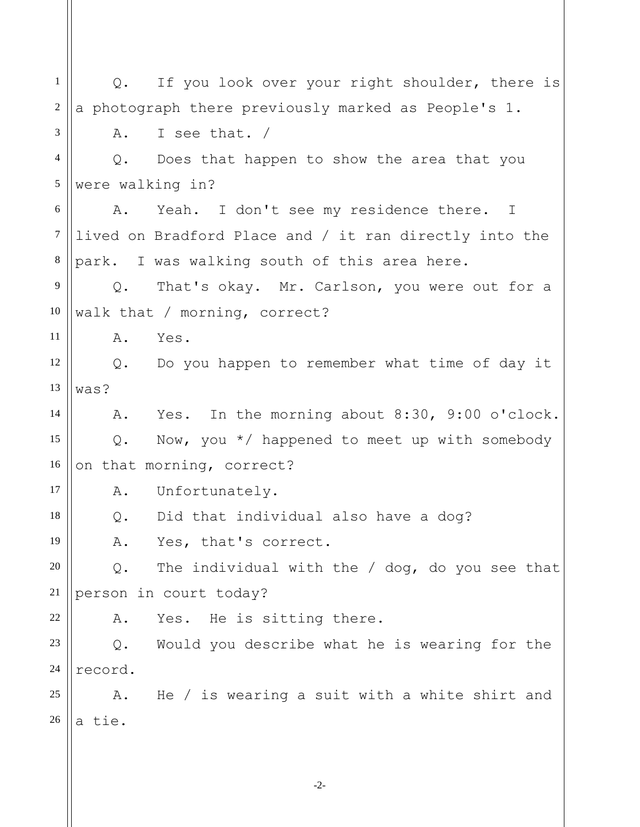-2- 1 2 3 4 5 6 7 8 9 10 11 12 13 14 15 16 17 18 19 20 21 22 23 24 25 26 Q. If you look over your right shoulder, there is a photograph there previously marked as People's 1. A. I see that. / Q. Does that happen to show the area that you were walking in? A. Yeah. I don't see my residence there. I lived on Bradford Place and / it ran directly into the park. I was walking south of this area here. Q. That's okay. Mr. Carlson, you were out for a walk that / morning, correct? A. Yes. Q. Do you happen to remember what time of day it was? A. Yes. In the morning about 8:30, 9:00 o'clock. Q. Now, you \*/ happened to meet up with somebody on that morning, correct? A. Unfortunately. Q. Did that individual also have a dog? A. Yes, that's correct. Q. The individual with the / dog, do you see that person in court today? A. Yes. He is sitting there. Q. Would you describe what he is wearing for the record. A. He / is wearing a suit with a white shirt and a tie.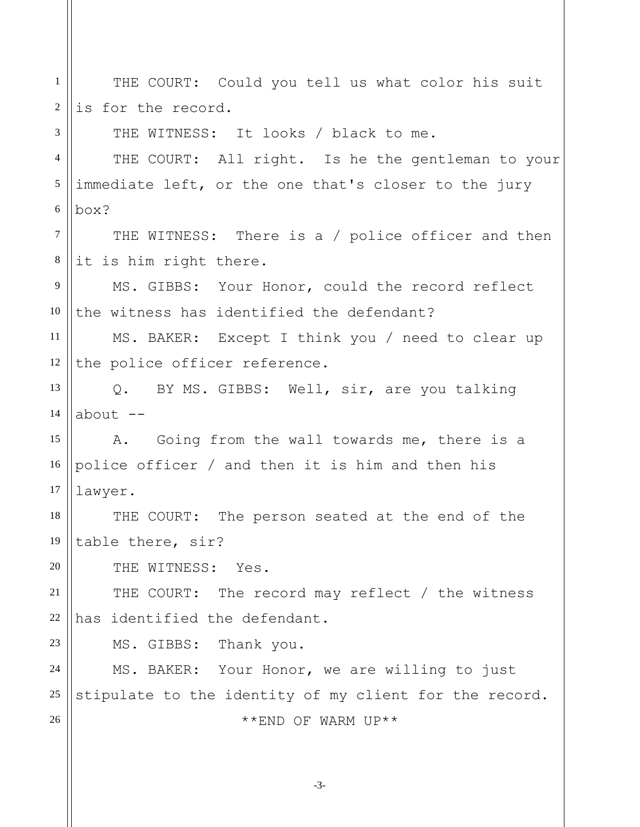| $\mathbf{1}$     | THE COURT: Could you tell us what color his suit       |
|------------------|--------------------------------------------------------|
| $\boldsymbol{2}$ | is for the record.                                     |
| 3                | THE WITNESS: It looks / black to me.                   |
| $\overline{4}$   | THE COURT: All right. Is he the gentleman to your      |
| $\mathfrak s$    | immediate left, or the one that's closer to the jury   |
| 6                | box?                                                   |
| $\overline{7}$   | THE WITNESS: There is a / police officer and then      |
| $8\,$            | it is him right there.                                 |
| 9                | MS. GIBBS: Your Honor, could the record reflect        |
| 10               | the witness has identified the defendant?              |
| 11               | MS. BAKER: Except I think you / need to clear up       |
| 12               | the police officer reference.                          |
| 13               | Q. BY MS. GIBBS: Well, sir, are you talking            |
| 14               | about --                                               |
| 15               | A. Going from the wall towards me, there is a          |
| 16               | police officer / and then it is him and then his       |
| 17               | lawyer.                                                |
| 18               | THE COURT: The person seated at the end of the         |
| 19               | table there, sir?                                      |
| 20               | THE WITNESS: Yes.                                      |
| 21               | THE COURT: The record may reflect / the witness        |
| $22\,$           | has identified the defendant.                          |
| 23               | MS. GIBBS: Thank you.                                  |
| 24               | MS. BAKER: Your Honor, we are willing to just          |
| 25               | stipulate to the identity of my client for the record. |
| 26               | **END OF WARM UP**                                     |
|                  |                                                        |

-3-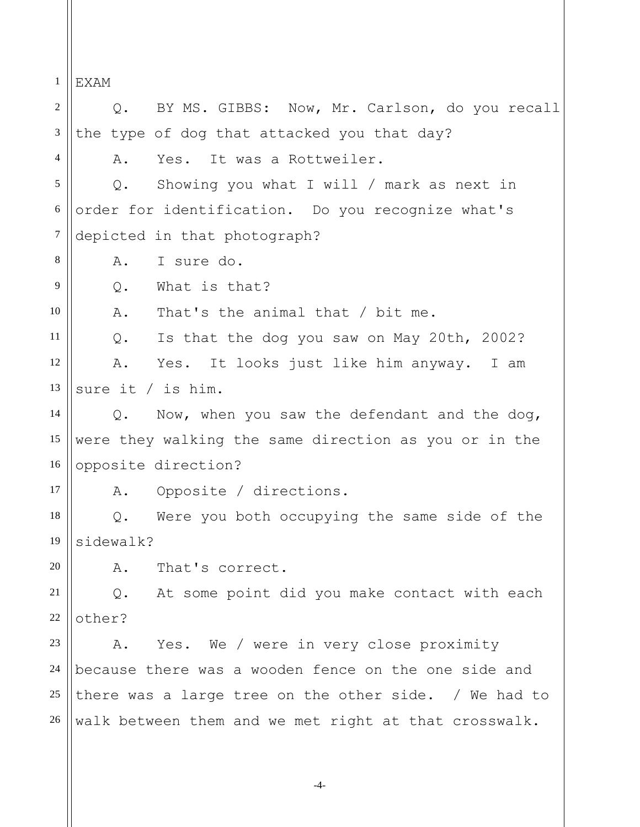1 2 3 4 5 6 7 8 9 10 11 12 13 14 15 16 17 18 19 20 21 22 23 24 25 26 EXAM Q. BY MS. GIBBS: Now, Mr. Carlson, do you recall the type of dog that attacked you that day? A. Yes. It was a Rottweiler. Q. Showing you what I will / mark as next in order for identification. Do you recognize what's depicted in that photograph? A. I sure do. Q. What is that? A. That's the animal that / bit me. Q. Is that the dog you saw on May 20th, 2002? A. Yes. It looks just like him anyway. I am sure it / is him. Q. Now, when you saw the defendant and the dog, were they walking the same direction as you or in the opposite direction? A. Opposite / directions. Q. Were you both occupying the same side of the sidewalk? A. That's correct. Q. At some point did you make contact with each other? A. Yes. We / were in very close proximity because there was a wooden fence on the one side and there was a large tree on the other side. / We had to walk between them and we met right at that crosswalk.

-4-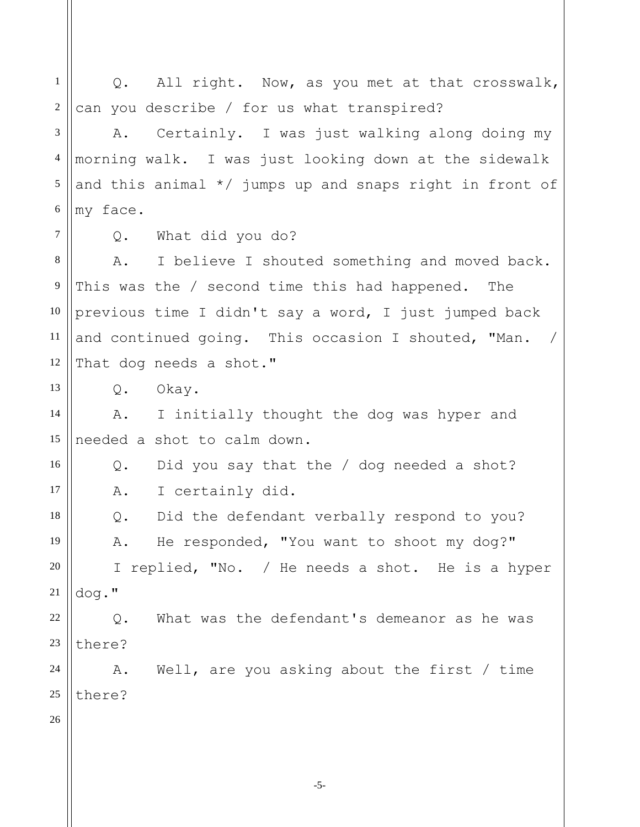1 2 3 4 5 6 7 8 9 10 11 12 13 14 15 16 17 18 19 20 21 22 23 24 25 26 Q. All right. Now, as you met at that crosswalk, can you describe / for us what transpired? A. Certainly. I was just walking along doing my morning walk. I was just looking down at the sidewalk and this animal \*/ jumps up and snaps right in front of my face. Q. What did you do? A. I believe I shouted something and moved back. This was the / second time this had happened. The previous time I didn't say a word, I just jumped back and continued going. This occasion I shouted, "Man. / That dog needs a shot." Q. Okay. A. I initially thought the dog was hyper and needed a shot to calm down. Q. Did you say that the / dog needed a shot? A. I certainly did. Q. Did the defendant verbally respond to you? A. He responded, "You want to shoot my dog?" I replied, "No. / He needs a shot. He is a hyper dog." Q. What was the defendant's demeanor as he was there? A. Well, are you asking about the first / time there?

-5-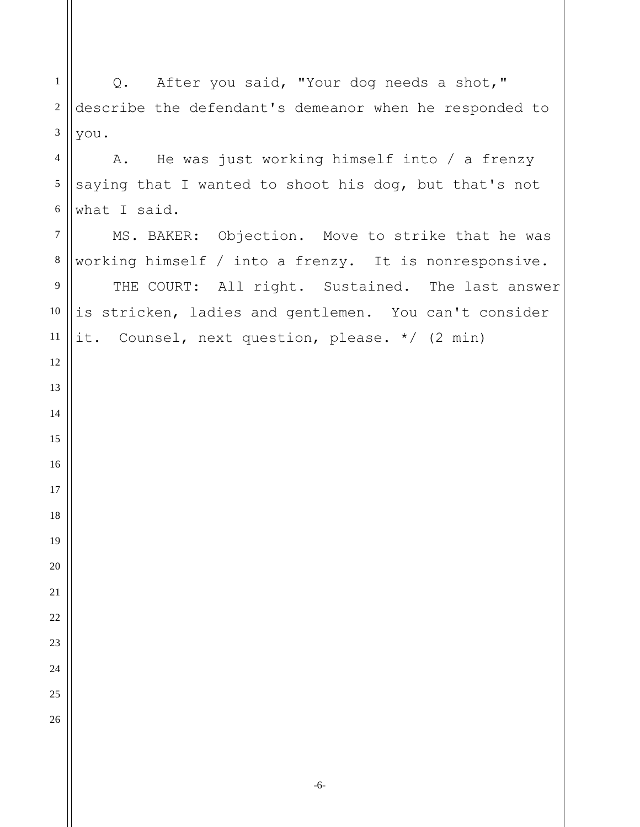Q. After you said, "Your dog needs a shot," describe the defendant's demeanor when he responded to you. A. He was just working himself into / a frenzy saying that I wanted to shoot his dog, but that's not what I said. MS. BAKER: Objection. Move to strike that he was working himself / into a frenzy. It is nonresponsive. THE COURT: All right. Sustained. The last answer is stricken, ladies and gentlemen. You can't consider it. Counsel, next question, please. \*/ (2 min)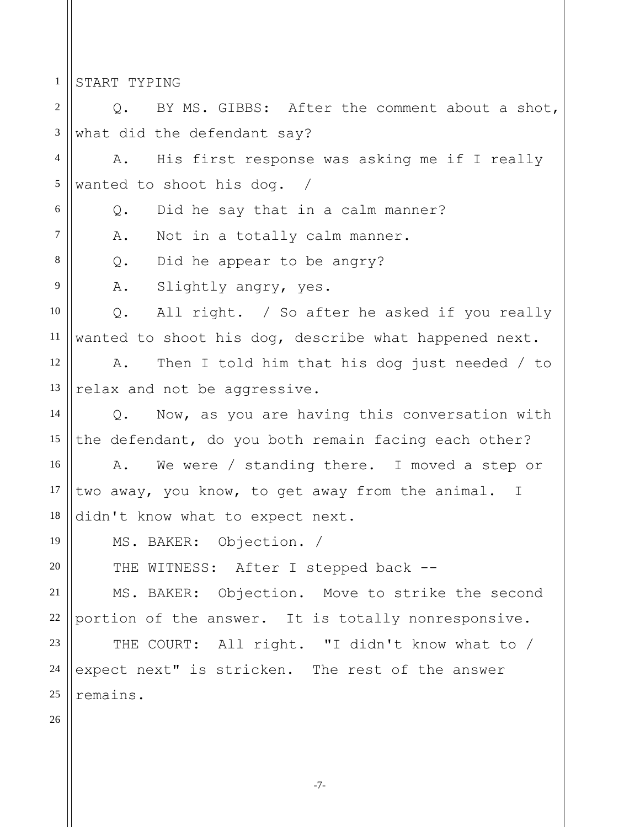1 START TYPING

2 3 4 5 6 7 8 9 10 11 12 13 14 15 16 17 18 19 20 21 22 23 24 25 26 Q. BY MS. GIBBS: After the comment about a shot, what did the defendant say? A. His first response was asking me if I really wanted to shoot his dog. / Q. Did he say that in a calm manner? A. Not in a totally calm manner. Q. Did he appear to be angry? A. Slightly angry, yes. Q. All right. / So after he asked if you really wanted to shoot his dog, describe what happened next. A. Then I told him that his dog just needed / to relax and not be aggressive. Q. Now, as you are having this conversation with the defendant, do you both remain facing each other? A. We were / standing there. I moved a step or two away, you know, to get away from the animal. I didn't know what to expect next. MS. BAKER: Objection. / THE WITNESS: After I stepped back --MS. BAKER: Objection. Move to strike the second portion of the answer. It is totally nonresponsive. THE COURT: All right. "I didn't know what to / expect next" is stricken. The rest of the answer remains.

-7-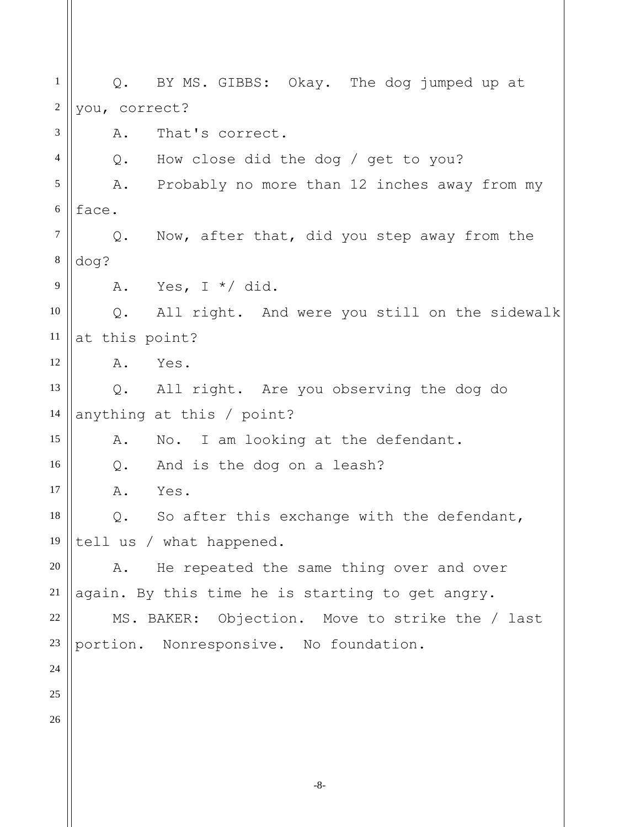-8- 1 2 3 4 5 6 7 8 9 10 11 12 13 14 15 16 17 18 19 20 21 22 23 24 25 26 Q. BY MS. GIBBS: Okay. The dog jumped up at you, correct? A. That's correct. Q. How close did the dog / get to you? A. Probably no more than 12 inches away from my face. Q. Now, after that, did you step away from the dog? A. Yes,  $I * /$  did. Q. All right. And were you still on the sidewalk at this point? A. Yes. Q. All right. Are you observing the dog do anything at this / point? A. No. I am looking at the defendant. Q. And is the dog on a leash? A. Yes. Q. So after this exchange with the defendant, tell us / what happened. A. He repeated the same thing over and over again. By this time he is starting to get angry. MS. BAKER: Objection. Move to strike the / last portion. Nonresponsive. No foundation.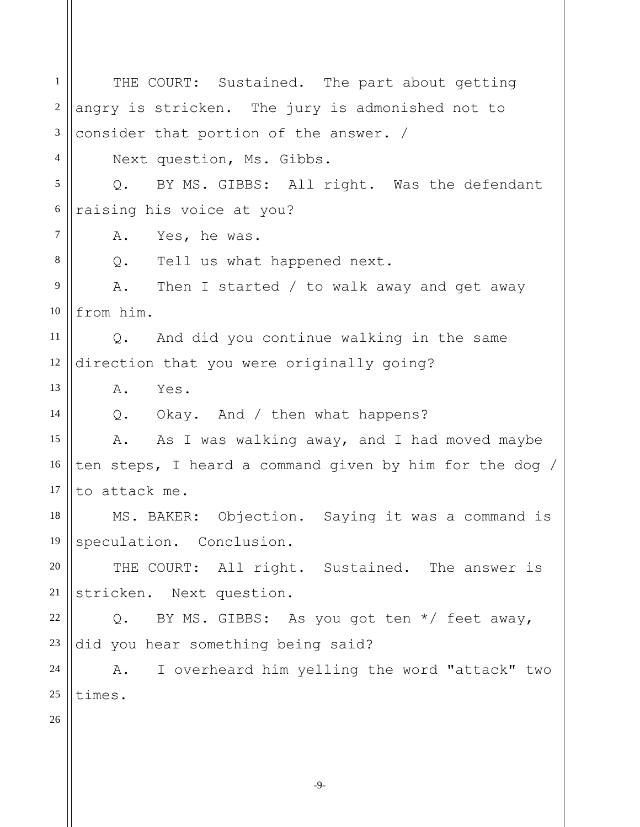1 2 3 4 5 6 7 8 9 10 11 12 13 14 15 16 17 18 19 20 21 22 23 24 25 26 THE COURT: Sustained. The part about getting angry is stricken. The jury is admonished not to consider that portion of the answer. / Next question, Ms. Gibbs. Q. BY MS. GIBBS: All right. Was the defendant raising his voice at you? A. Yes, he was. Q. Tell us what happened next. A. Then I started / to walk away and get away from him. Q. And did you continue walking in the same direction that you were originally going? A. Yes. Q. Okay. And / then what happens? A. As I was walking away, and I had moved maybe ten steps, I heard a command given by him for the dog / to attack me. MS. BAKER: Objection. Saying it was a command is speculation. Conclusion. THE COURT: All right. Sustained. The answer is stricken. Next question. Q. BY MS. GIBBS: As you got ten \*/ feet away, did you hear something being said? A. I overheard him yelling the word "attack" two times.

-9-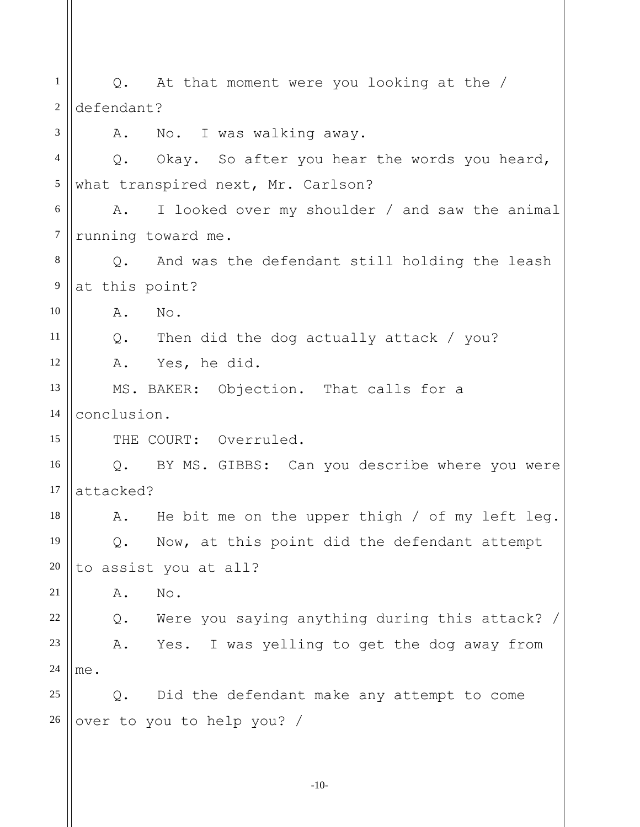| $\mathbf{1}$     | Q. At that moment were you looking at the /                |
|------------------|------------------------------------------------------------|
| $\boldsymbol{2}$ | defendant?                                                 |
| 3                | No. I was walking away.<br>A.                              |
| $\overline{4}$   | Q. Okay. So after you hear the words you heard,            |
| $\mathfrak s$    | what transpired next, Mr. Carlson?                         |
| 6                | I looked over my shoulder / and saw the animal<br>A.       |
| $\boldsymbol{7}$ | running toward me.                                         |
| $\,8\,$          | Q. And was the defendant still holding the leash           |
| $\overline{9}$   | at this point?                                             |
| 10               | No.<br>Α.                                                  |
| 11               | $Q$ .<br>Then did the dog actually attack / you?           |
| 12               | Yes, he did.<br>Α.                                         |
| 13               | MS. BAKER: Objection. That calls for a                     |
| 14               | conclusion.                                                |
| 15               | THE COURT: Overruled.                                      |
| 16               | BY MS. GIBBS: Can you describe where you were<br>$\circ$ . |
| 17               | attacked?                                                  |
| 18               | He bit me on the upper thigh $/$ of my left leg.<br>Α.     |
| 19               | Now, at this point did the defendant attempt<br>Q.         |
| 20               | to assist you at all?                                      |
| 21               | Α.<br>No.                                                  |
| 22               | Were you saying anything during this attack?<br>$Q$ .      |
| 23               | I was yelling to get the dog away from<br>Α.<br>Yes.       |
| 24               | me.                                                        |
| 25               | Did the defendant make any attempt to come<br>$Q$ .        |
| 26               | over to you to help you? /                                 |
|                  |                                                            |
|                  |                                                            |

-10-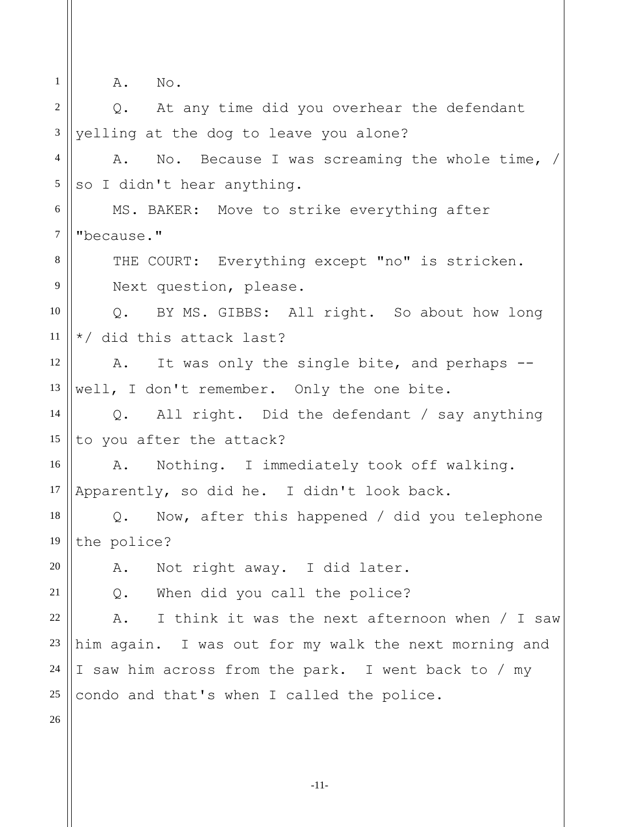1 2 3 4 5 6 7 8 9 10 11 12 13 14 15 16 17 18 19 20 21 22 23 24 25 26 A. No. Q. At any time did you overhear the defendant yelling at the dog to leave you alone? A. No. Because I was screaming the whole time, / so I didn't hear anything. MS. BAKER: Move to strike everything after "because." THE COURT: Everything except "no" is stricken. Next question, please. Q. BY MS. GIBBS: All right. So about how long \*/ did this attack last? A. It was only the single bite, and perhaps - well, I don't remember. Only the one bite. Q. All right. Did the defendant / say anything to you after the attack? A. Nothing. I immediately took off walking. Apparently, so did he. I didn't look back. Q. Now, after this happened / did you telephone the police? A. Not right away. I did later. Q. When did you call the police? A. I think it was the next afternoon when / I saw him again. I was out for my walk the next morning and I saw him across from the park. I went back to / my condo and that's when I called the police.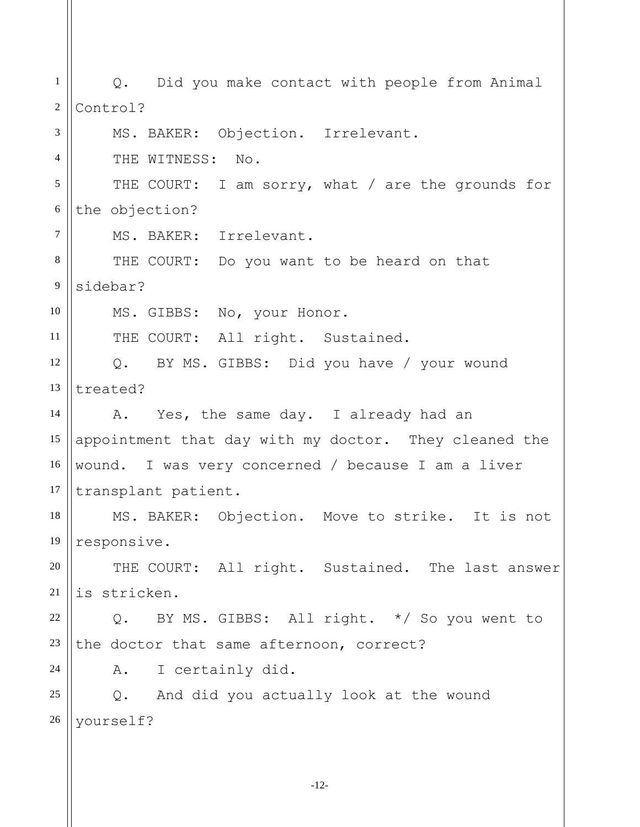1 2 3 4 5 6 7 8 9 10 11 12 13 14 15 16 17 18 19 20 21 22 23 24 25 26 Q. Did you make contact with people from Animal Control? MS. BAKER: Objection. Irrelevant. THE WITNESS: No. THE COURT: I am sorry, what / are the grounds for the objection? MS. BAKER: Irrelevant. THE COURT: Do you want to be heard on that sidebar? MS. GIBBS: No, your Honor. THE COURT: All right. Sustained. Q. BY MS. GIBBS: Did you have / your wound treated? A. Yes, the same day. I already had an appointment that day with my doctor. They cleaned the wound. I was very concerned / because I am a liver transplant patient. MS. BAKER: Objection. Move to strike. It is not responsive. THE COURT: All right. Sustained. The last answer is stricken. Q. BY MS. GIBBS: All right. \*/ So you went to the doctor that same afternoon, correct? A. I certainly did. Q. And did you actually look at the wound yourself?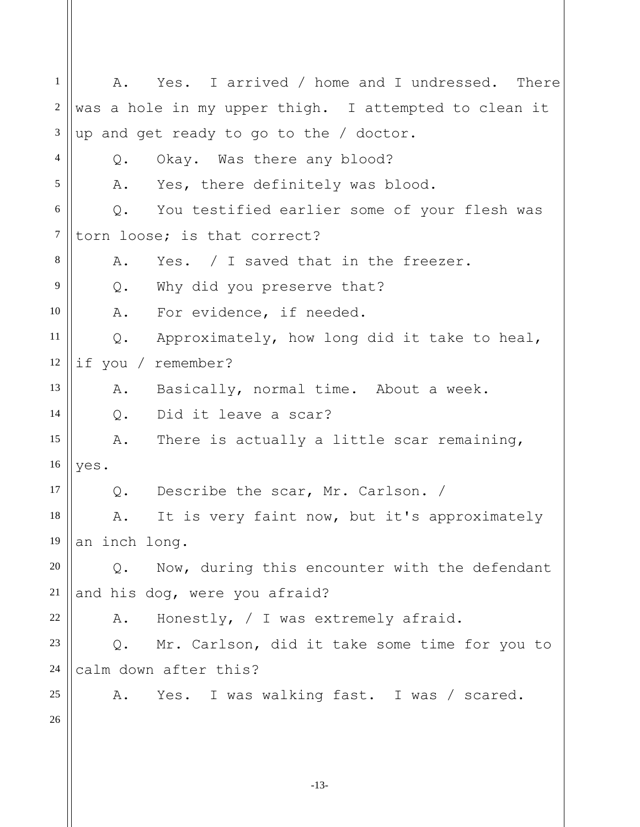1 2 3 4 5 6 7 8 9 10 11 12 13 14 15 16 17 18 19 20 21 22 23 24 25 26 A. Yes. I arrived / home and I undressed. There was a hole in my upper thigh. I attempted to clean it up and get ready to go to the / doctor. Q. Okay. Was there any blood? A. Yes, there definitely was blood. Q. You testified earlier some of your flesh was torn loose; is that correct? A. Yes. / I saved that in the freezer. Q. Why did you preserve that? A. For evidence, if needed. Q. Approximately, how long did it take to heal, if you / remember? A. Basically, normal time. About a week. Q. Did it leave a scar? A. There is actually a little scar remaining, yes. Q. Describe the scar, Mr. Carlson. / A. It is very faint now, but it's approximately an inch long. Q. Now, during this encounter with the defendant and his dog, were you afraid? A. Honestly, / I was extremely afraid. Q. Mr. Carlson, did it take some time for you to calm down after this? A. Yes. I was walking fast. I was / scared.

-13-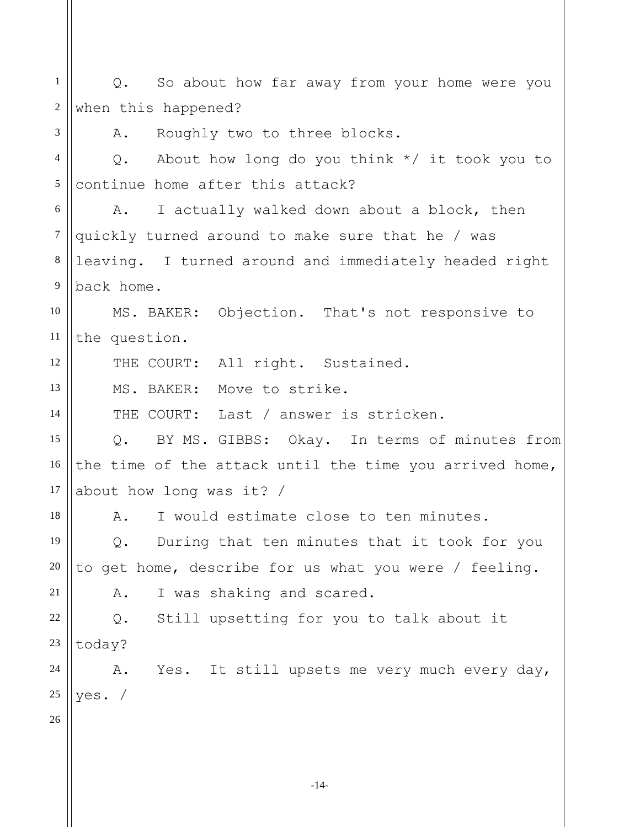1 2 3 4 5 6 7 8 9 10 11 12 13 14 15 16 17 18 19 20 21 22 23 24 25 26 Q. So about how far away from your home were you when this happened? A. Roughly two to three blocks. Q. About how long do you think \*/ it took you to continue home after this attack? A. I actually walked down about a block, then quickly turned around to make sure that he / was leaving. I turned around and immediately headed right back home. MS. BAKER: Objection. That's not responsive to the question. THE COURT: All right. Sustained. MS. BAKER: Move to strike. THE COURT: Last / answer is stricken. Q. BY MS. GIBBS: Okay. In terms of minutes from the time of the attack until the time you arrived home, about how long was it? / A. I would estimate close to ten minutes. Q. During that ten minutes that it took for you to get home, describe for us what you were / feeling. A. I was shaking and scared. Q. Still upsetting for you to talk about it today? A. Yes. It still upsets me very much every day, yes. /

-14-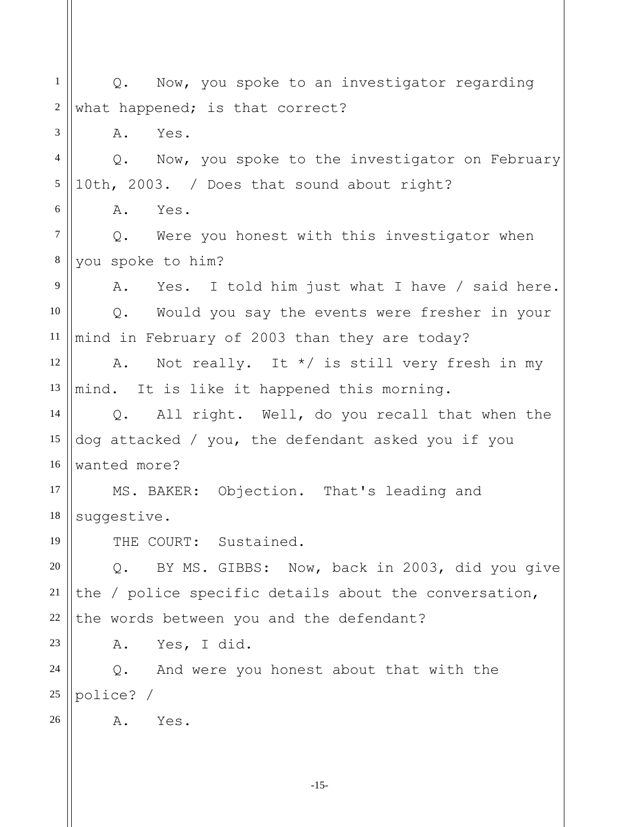1 2 3 4 5 6 7 8 9 10 11 12 13 14 15 16 17 18 19 20 21 22 23 24 25 26 Q. Now, you spoke to an investigator regarding what happened; is that correct? A. Yes. Q. Now, you spoke to the investigator on February 10th, 2003. / Does that sound about right? A. Yes. Q. Were you honest with this investigator when you spoke to him? A. Yes. I told him just what I have / said here. Q. Would you say the events were fresher in your mind in February of 2003 than they are today? A. Not really. It  $*/$  is still very fresh in my mind. It is like it happened this morning. Q. All right. Well, do you recall that when the dog attacked / you, the defendant asked you if you wanted more? MS. BAKER: Objection. That's leading and suggestive. THE COURT: Sustained. Q. BY MS. GIBBS: Now, back in 2003, did you give the / police specific details about the conversation, the words between you and the defendant? A. Yes, I did. Q. And were you honest about that with the police? / A. Yes.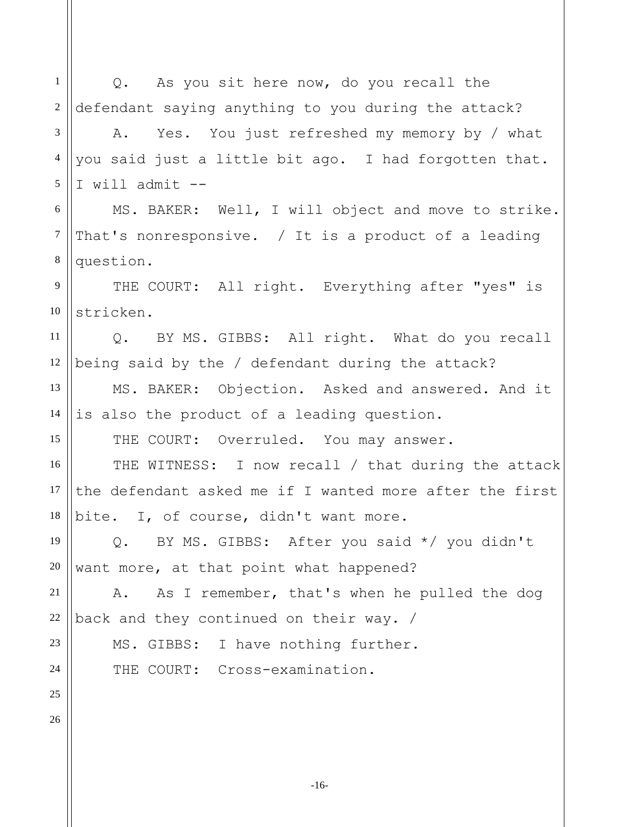1 2 3 4 5 6 7 8 9 10 11 12 13 14 15 16 17 18 19 20 21 22 Q. As you sit here now, do you recall the defendant saying anything to you during the attack? A. Yes. You just refreshed my memory by / what you said just a little bit ago. I had forgotten that. I will admit  $--$ MS. BAKER: Well, I will object and move to strike. That's nonresponsive. / It is a product of a leading question. THE COURT: All right. Everything after "yes" is stricken. Q. BY MS. GIBBS: All right. What do you recall being said by the / defendant during the attack? MS. BAKER: Objection. Asked and answered. And it is also the product of a leading question. THE COURT: Overruled. You may answer. THE WITNESS: I now recall / that during the attack the defendant asked me if I wanted more after the first bite. I, of course, didn't want more. Q. BY MS. GIBBS: After you said \*/ you didn't want more, at that point what happened? A. As I remember, that's when he pulled the dog back and they continued on their way. /

MS. GIBBS: I have nothing further.

THE COURT: Cross-examination.

25 26

23

24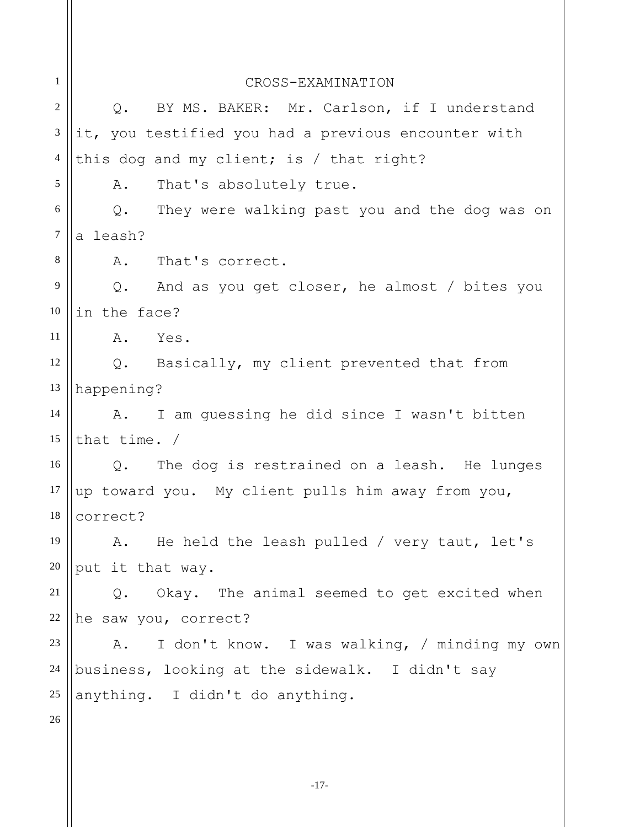1 2 3 4 5 6 7 8 9 10 11 12 13 14 15 16 17 18 19 20 21 22 23 24 25 26 CROSS-EXAMINATION Q. BY MS. BAKER: Mr. Carlson, if I understand it, you testified you had a previous encounter with this dog and my client; is / that right? A. That's absolutely true. Q. They were walking past you and the dog was on a leash? A. That's correct. Q. And as you get closer, he almost / bites you in the face? A. Yes. Q. Basically, my client prevented that from happening? A. I am guessing he did since I wasn't bitten that time. / Q. The dog is restrained on a leash. He lunges up toward you. My client pulls him away from you, correct? A. He held the leash pulled / very taut, let's put it that way. Q. Okay. The animal seemed to get excited when he saw you, correct? A. I don't know. I was walking, / minding my own business, looking at the sidewalk. I didn't say anything. I didn't do anything.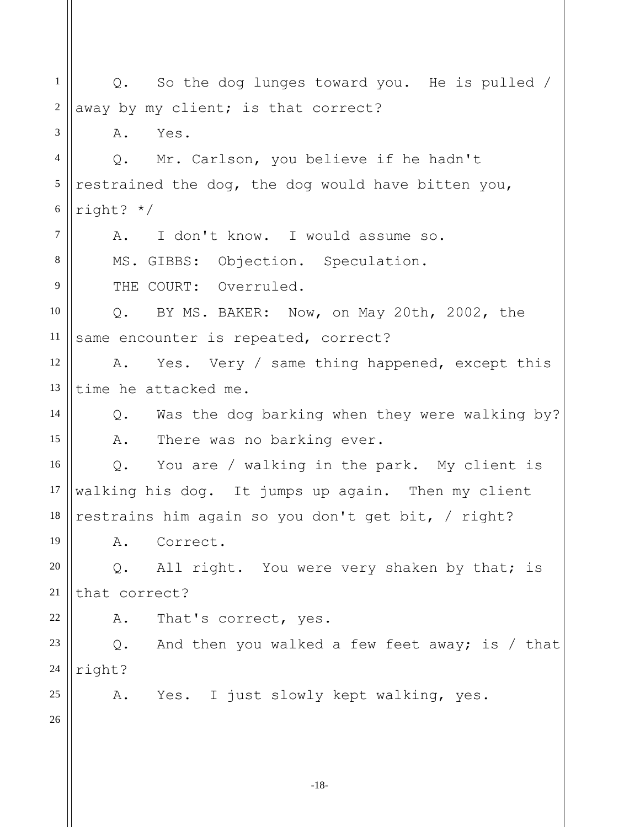-18- 1 2 3 4 5 6 7 8 9 10 11 12 13 14 15 16 17 18 19 20 21 22 23 24 25 26 Q. So the dog lunges toward you. He is pulled / away by my client; is that correct? A. Yes. Q. Mr. Carlson, you believe if he hadn't restrained the dog, the dog would have bitten you, right? \*/ A. I don't know. I would assume so. MS. GIBBS: Objection. Speculation. THE COURT: Overruled. Q. BY MS. BAKER: Now, on May 20th, 2002, the same encounter is repeated, correct? A. Yes. Very / same thing happened, except this time he attacked me. Q. Was the dog barking when they were walking by? A. There was no barking ever. Q. You are / walking in the park. My client is walking his dog. It jumps up again. Then my client restrains him again so you don't get bit, / right? A. Correct. Q. All right. You were very shaken by that; is that correct? A. That's correct, yes. Q. And then you walked a few feet away; is / that right? A. Yes. I just slowly kept walking, yes.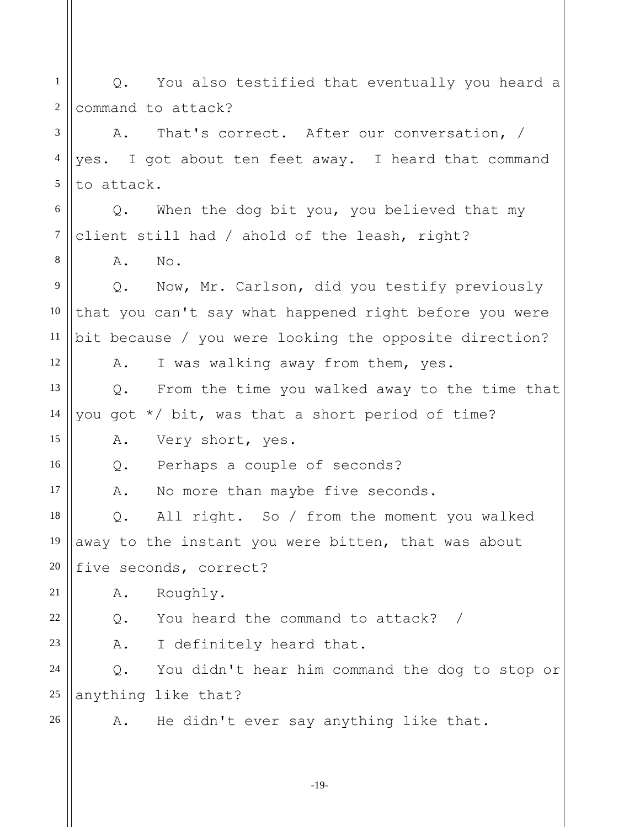1 2 3 4 5 6 7 8 9 10 11 12 13 14 15 16 17 18 19 20 21 22 23 24 25 26 Q. You also testified that eventually you heard a command to attack? A. That's correct. After our conversation, / yes. I got about ten feet away. I heard that command to attack. Q. When the dog bit you, you believed that my client still had / ahold of the leash, right? A. No. Q. Now, Mr. Carlson, did you testify previously that you can't say what happened right before you were bit because / you were looking the opposite direction? A. I was walking away from them, yes. Q. From the time you walked away to the time that you got \*/ bit, was that a short period of time? A. Very short, yes. Q. Perhaps a couple of seconds? A. No more than maybe five seconds. Q. All right. So / from the moment you walked away to the instant you were bitten, that was about five seconds, correct? A. Roughly. Q. You heard the command to attack? / A. I definitely heard that. Q. You didn't hear him command the dog to stop or anything like that? A. He didn't ever say anything like that.